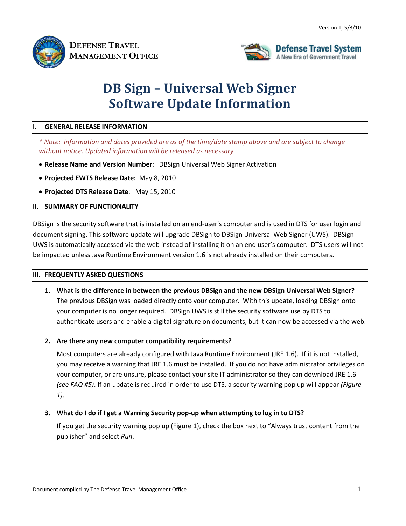

**DEFENSE TRAVEL MANAGEMENT OFFICE**



# **DB Sign – Universal Web Signer Software Update Information**

#### **I. GENERAL RELEASE INFORMATION**

*\* Note: Information and dates provided are as of the time/date stamp above and are subject to change without notice. Updated information will be released as necessary.* 

- **Release Name and Version Number**: DBSign Universal Web Signer Activation
- **Projected EWTS Release Date:** May 8, 2010
- **Projected DTS Release Date**: May 15, 2010

#### **II. SUMMARY OF FUNCTIONALITY**

DBSign is the security software that is installed on an end-user's computer and is used in DTS for user login and document signing. This software update will upgrade DBSign to DBSign Universal Web Signer (UWS). DBSign UWS is automatically accessed via the web instead of installing it on an end user's computer. DTS users will not be impacted unless Java Runtime Environment version 1.6 is not already installed on their computers.

#### **III. FREQUENTLY ASKED QUESTIONS**

- **1. What is the difference in between the previous DBSign and the new DBSign Universal Web Signer?**  The previous DBSign was loaded directly onto your computer. With this update, loading DBSign onto your computer is no longer required. DBSign UWS is still the security software use by DTS to authenticate users and enable a digital signature on documents, but it can now be accessed via the web.
- **2. Are there any new computer compatibility requirements?**

Most computers are already configured with Java Runtime Environment (JRE 1.6). If it is not installed, you may receive a warning that JRE 1.6 must be installed. If you do not have administrator privileges on your computer, or are unsure, please contact your site IT administrator so they can download JRE 1.6 *(see FAQ #5)*. If an update is required in order to use DTS, a security warning pop up will appear *(Figure 1)*.

### **3. What do I do if I get a Warning Security pop-up when attempting to log in to DTS?**

If you get the security warning pop up (Figure 1), check the box next to "Always trust content from the publisher" and select *Run*.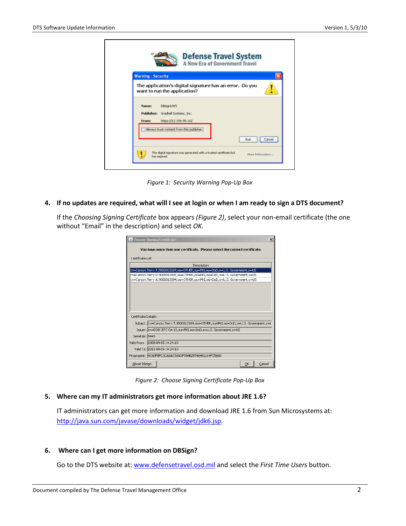

*Figure 1: Security Warning Pop-Up Box*

### **4. If no updates are required, what will I see at login or when I am ready to sign a DTS document?**

If the *Choosing Signing Certificate* box appears *(Figure 2)*, select your non-email certificate (the one without "Email" in the description) and select *OK*.

| $\vert x \vert$<br>& Choose Signing Certificate                                    |                                                                |              |
|------------------------------------------------------------------------------------|----------------------------------------------------------------|--------------|
| You have more than one certificate. Please select the correct certificate.         |                                                                |              |
| Certificate List:                                                                  |                                                                |              |
|                                                                                    | Description                                                    |              |
| cn=Carson.Terry.T.9000012689.ou=OTHER.ou=PKI.ou=DoD.o=U.S. Government.c=US         |                                                                |              |
| cn=Carson.Terry.D.9000012697,ou=OTHER,ou=PKI,ou=DoD,o=U.S. Government,c=US         |                                                                |              |
| cn=Carson.Terry.A.9000012694.ou=OTHER.ou=PKI.ou=DoD.o=U.S. Government.c=US         |                                                                |              |
|                                                                                    |                                                                |              |
|                                                                                    |                                                                |              |
|                                                                                    |                                                                |              |
|                                                                                    |                                                                |              |
|                                                                                    |                                                                |              |
| Certificate Details:                                                               |                                                                |              |
| Subject: cn=Carson.Terry.T.9000012689,ou=OTHER,ou=PKI,ou=DoD,o=U.S. Government,c=L |                                                                |              |
|                                                                                    | Issuer: cn=DOD JITC CA-13.ou=PKI.ou=DoD.o=U.S. Government.c=US |              |
| Serial No: 5443                                                                    |                                                                |              |
| Valid From:                                                                        | 2008-09-08 14:24:10                                            |              |
|                                                                                    | Valid To: 2011-09-09 14:24:10                                  |              |
|                                                                                    | Fingerprint: 4C60F8FC3CA0AC00ADF78AB25748451114FC5660          |              |
| About DBsign                                                                       |                                                                | Cancel<br>OK |

*Figure 2: Choose Signing Certificate Pop-Up Box*

# **5. Where can my IT administrators get more information about JRE 1.6?**

IT administrators can get more information and download JRE 1.6 from Sun Microsystems at: [http://java.sun.com/javase/downloads/widget/jdk6.jsp.](http://java.sun.com/javase/downloads/widget/jdk6.jsp)

## **6. Where can I get more information on DBSign?**

Go to the DTS website at: [www.defensetravel.osd.mil](http://www.defensetravel.osd.mil/) and select the *First Time Users* button.